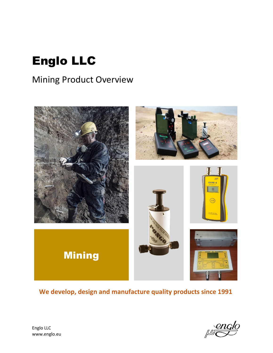# Englo LLC

# Mining Product Overview



**We develop, design and manufacture quality products since 1991**

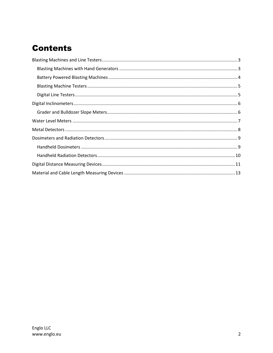# **Contents**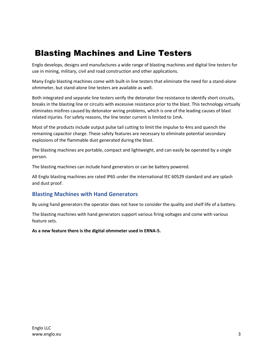# <span id="page-2-0"></span>Blasting Machines and Line Testers

Englo develops, designs and manufactures a wide range of blasting machines and digital line testers for use in mining, military, civil and road construction and other applications.

Many Englo blasting machines come with built-in line testers that eliminate the need for a stand-alone ohmmeter, but stand-alone line testers are available as well.

Both integrated and separate line testers verify the detonator line resistance to identify short circuits, breaks in the blasting line or circuits with excessive resistance prior to the blast. This technology virtually eliminates misfires caused by detonator wiring problems, which is one of the leading causes of blast related injuries. For safety reasons, the line tester current is limited to 1mA.

Most of the products include output pulse tail cutting to limit the impulse to 4ms and quench the remaining capacitor charge. These safety features are necessary to eliminate potential secondary explosions of the flammable dust generated during the blast.

The blasting machines are portable, compact and lightweight, and can easily be operated by a single person.

The blasting machines can include hand generators or can be battery powered.

All Englo blasting machines are rated IP65 under the international IEC 60529 standard and are splash and dust proof.

### <span id="page-2-1"></span>**Blasting Machines with Hand Generators**

By using hand generators the operator does not have to consider the quality and shelf life of a battery.

The blasting machines with hand generators support various firing voltages and come with various feature sets.

**As a new feature there is the digital ohmmeter used in ERNA-5.**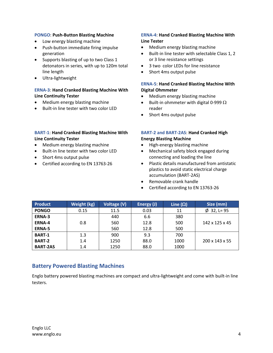#### **PONGO**: **Push-Button Blasting Machine**

- Low energy blasting machine
- Push-button immediate firing impulse generation
- Supports blasting of up to two Class 1 detonators in series, with up to 120m total line length
- Ultra-lightweight

#### **ERNA-3**: **Hand Cranked Blasting Machine With Line Continuity Tester**

- Medium energy blasting machine
- Built-in line tester with two color LED

#### **BART-1**: **Hand Cranked Blasting Machine With Line Continuity Tester**

- Medium energy blasting machine
- Built-in line tester with two color LED
- Short 4ms output pulse
- Certified according to EN 13763-26

#### **ERNA-4**: **Hand Cranked Blasting Machine With Line Tester**

- Medium energy blasting machine
- Built-in line tester with selectable Class 1, 2 or 3 line resistance settings
- 3 two color LEDs for line resistance
- Short 4ms output pulse

#### **ERNA-5**: **Hand Cranked Blasting Machine With Digital Ohmmeter**

- Medium energy blasting machine
- Built-in ohmmeter with digital 0-999  $\Omega$ reader
- Short 4ms output pulse

#### **BART-2 and BART-2AS**: **Hand Cranked High Energy Blasting Machine**

- High-energy blasting machine
- Mechanical safety block engaged during connecting and loading the line
- Plastic details manufactured from antistatic plastics to avoid static electrical charge accumulation (BART-2AS)
- Removable crank handle
- Certified according to EN 13763-26

| <b>Product</b>  | Weight (kg) | Voltage (V) | Energy (J) | Line $(\Omega)$ | Size (mm)                  |
|-----------------|-------------|-------------|------------|-----------------|----------------------------|
| <b>PONGO</b>    | 0.15        | 11.5        | 0.03       | 11              | $\varnothing$ 32, L= 95    |
| ERNA-3          |             | 440         | 6.6        | 380             |                            |
| <b>ERNA-4</b>   | 0.8         | 560         | 12.8       | 500             | $142 \times 125 \times 45$ |
| ERNA-5          |             | 560         | 12.8       | 500             |                            |
| <b>BART-1</b>   | 1.3         | 900         | 9.3        | 700             |                            |
| <b>BART-2</b>   | 1.4         | 1250        | 88.0       | 1000            | $200 \times 143 \times 55$ |
| <b>BART-2AS</b> | 1.4         | 1250        | 88.0       | 1000            |                            |

### <span id="page-3-0"></span>**Battery Powered Blasting Machines**

Englo battery powered blasting machines are compact and ultra-lightweight and come with built-in line testers.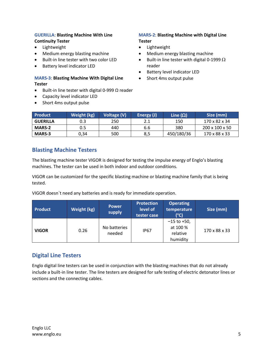#### **GUERILLA**: **Blasting Machine With Line Continuity Tester**

- **•** Lightweight
- Medium energy blasting machine
- Built-in line tester with two color LED
- Battery level indicator LED

#### **MARS-3**: **Blasting Machine With Digital Line Tester**

- $\bullet$  Built-in line tester with digital 0-999 Ω reader
- Capacity level indicator LED
- Short 4ms output pulse

#### **MARS-2**: **Blasting Machine with Digital Line Tester**

- Lightweight
- Medium energy blasting machine
- Built-in line tester with digital 0-1999  $\Omega$ reader
- Battery level indicator LED
- Short 4ms output pulse

| <b>Product</b>  | Weight (kg) | Voltage (V) | Energy (J) | Line $(\Omega)$ | Size (mm)                  |
|-----------------|-------------|-------------|------------|-----------------|----------------------------|
| <b>GUERILLA</b> | 0.3         | 250         | 2.1        | 150             | 170 x 82 x 34              |
| <b>MARS-2</b>   | 0.5         | 440         | 6.6        | 380             | $200 \times 100 \times 50$ |
| <b>MARS-3</b>   | 0,34        | 500         | 8,5        | 450/180/36      | 170 x 88 x 33              |

### <span id="page-4-0"></span>**Blasting Machine Testers**

The blasting machine tester VIGOR is designed for testing the impulse energy of Englo's blasting machines. The tester can be used in both indoor and outdoor conditions.

VIGOR can be customized for the specific blasting machine or blasting machine family that is being tested.

VIGOR doesn`t need any batteries and is ready for immediate operation.

| <b>Product</b> | Weight (kg) | <b>Power</b><br>supply | <b>Protection</b><br>level of<br>tester case | <b>Operating</b><br>temperature<br>(°C)              | Size (mm)     |
|----------------|-------------|------------------------|----------------------------------------------|------------------------------------------------------|---------------|
| <b>VIGOR</b>   | 0.26        | No batteries<br>needed | <b>IP67</b>                                  | $-15$ to $+50$ ,<br>at 100 %<br>relative<br>humidity | 170 x 88 x 33 |

### <span id="page-4-1"></span>**Digital Line Testers**

Englo digital line testers can be used in conjunction with the blasting machines that do not already include a built-in line tester. The line testers are designed for safe testing of electric detonator lines or sections and the connecting cables.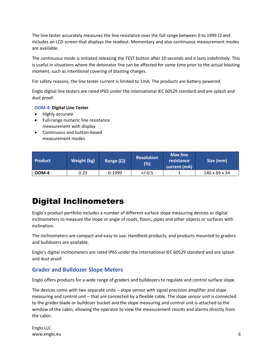The line tester accurately measures the line resistance over the full range between 0 to 1999  $\Omega$  and includes an LCD screen that displays the readout. Momentary and also continuous measurement modes are available.

The continuous mode is initiated releasing the TEST button after 10 seconds and it lasts indefinitely. This is useful in situations where the detonator line can be affected for some time prior to the actual blasting moment, such as intentional covering of blasting charges.

For safety reasons, the line tester current is limited to 1mA. The products are battery powered.

Englo digital line testers are rated IP65 under the international IEC 60529 standard and are splash and dust proof.

#### **OOM-4**: **Digital Line Tester**

- Highly accurate
- Full-range numeric line resistance measurement with display
- Continuous and button-based measurement modes

| <b>Product</b> | Weight (kg) | Range $(\Omega)$ | <b>Resolution</b><br>(%) | Max line<br>resistance<br>current (mA) | Size (mm)     |
|----------------|-------------|------------------|--------------------------|----------------------------------------|---------------|
| OOM-4          | 0.23        | 0-1999           | $+/-0.5$                 |                                        | 140 x 69 x 34 |

# <span id="page-5-0"></span>Digital Inclinometers

Englo's product portfolio includes a number of different surface slope measuring devices or digital inclinometers to measure the slope or angle of roads, floors, pipes and other objects or surfaces with inclination.

The inclinometers are compact and easy to use. Handheld products, and products mounted to graders and bulldozers are available.

Englo's digital inclinometers are rated IP65 under the international IEC 60529 standard and are splash and dust proof.

### <span id="page-5-1"></span>**Grader and Bulldozer Slope Meters**

Englo offers products for a wide range of graders and bulldozers to regulate and control surface slope.

The devices come with two separate units – slope sensor with signal precision amplifier and slope measuring and control unit – that are connected by a flexible cable. The slope sensor unit is connected to the grader blade or bulldozer bucket and the slope measuring and control unit is attached to the window of the cabin, allowing the operator to view the measurement results and alarms directly from the cabin.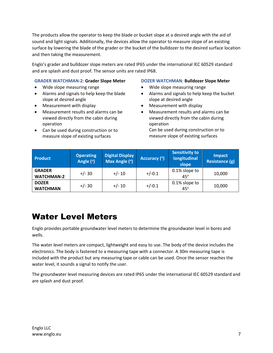The products allow the operator to keep the blade or bucket slope at a desired angle with the aid of sound and light signals. Additionally, the devices allow the operator to measure slope of an existing surface by lowering the blade of the grader or the bucket of the bulldozer to the desired surface location and then taking the measurement.

Englo's grader and bulldozer slope meters are rated IP65 under the international IEC 60529 standard and are splash and dust proof. The sensor units are rated IP68.

#### **GRADER WATCHMAN-2**: **Grader Slope Meter**

- Wide slope measuring range
- Alarms and signals to help keep the blade slope at desired angle
- Measurement with display
- Measurement results and alarms can be viewed directly from the cabin during operation
- Can be used during construction or to measure slope of existing surfaces

#### **DOZER WATCHMAN**: **Bulldozer Slope Meter**

- Wide slope measuring range
- Alarms and signals to help keep the bucket slope at desired angle
- Measurement with display
- Measurement results and alarms can be viewed directly from the cabin during operation Can be used during construction or to

measure slope of existing surfaces

| <b>Product</b>                     | <b>Operating</b><br>Angle (°) | <b>Digital Display</b><br>Max Angle (°) | Accuracy (°) | <b>Sensitivity to</b><br><b>longitudinal</b><br>slope | <b>Impact</b><br>Resistance (g) |
|------------------------------------|-------------------------------|-----------------------------------------|--------------|-------------------------------------------------------|---------------------------------|
| <b>GRADER</b><br><b>WATCHMAN-2</b> | $+/- 30$                      | $+/- 10$                                | $+/-0.1$     | 0.1% slope to<br>$45^\circ$                           | 10,000                          |
| <b>DOZER</b><br><b>WATCHMAN</b>    | $+/- 30$                      | $+/- 10$                                | $+/-0.1$     | 0.1% slope to<br>$45^\circ$                           | 10,000                          |

### <span id="page-6-0"></span>Water Level Meters

Englo provides portable groundwater level meters to determine the groundwater level in bores and wells.

The water level meters are compact, lightweight and easy to use. The body of the device includes the electronics. The body is fastened to a measuring tape with a connector. A 30m measuring tape is included with the product but any measuring tape or cable can be used. Once the sensor reaches the water level, it sounds a signal to notify the user.

The groundwater level measuring devices are rated IP65 under the international IEC 60529 standard and are splash and dust proof.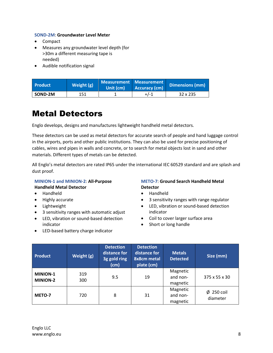#### **SOND-2M**: **Groundwater Level Meter**

- Compact
- Measures any groundwater level depth (for >30m a different measuring tape is needed)
- Audible notification signal

| <b>Product</b> | Weight (g) | Measurement Measurement<br>Unit (cm) | Accuracy (cm) | <b>Dimensions (mm)</b> |
|----------------|------------|--------------------------------------|---------------|------------------------|
| SOND-2M        | 151        |                                      | $+/-1$        | 32 x 235               |

## <span id="page-7-0"></span>Metal Detectors

Englo develops, designs and manufactures lightweight handheld metal detectors.

These detectors can be used as metal detectors for accurate search of people and hand luggage control in the airports, ports and other public institutions. They can also be used for precise positioning of cables, wires and pipes in walls and concrete, or to search for metal objects lost in sand and other materials. Different types of metals can be detected.

All Englo's metal detectors are rated IP65 under the international IEC 60529 standard and are splash and dust proof.

### **MINION-1 and MINION-2**: **All-Purpose Handheld Metal Detector**

- Handheld
- Highly accurate
- Lightweight
- 3 sensitivity ranges with automatic adjust
- LED, vibration or sound-based detection indicator
- LED-based battery charge indicator

#### **METO-7**: **Ground Search Handheld Metal Detector**

- Handheld
- 3 sensitivity ranges with range regulator
- LED, vibration or sound-based detection indicator
- Coil to cover larger surface area
- Short or long handle

| <b>Product</b>                     | Weight (g) | <b>Detection</b><br>distance for<br>3g gold ring<br>(cm) | <b>Detection</b><br>distance for<br>8x8cm metal<br>plate (cm) | <b>Metals</b><br><b>Detected</b> | Size (mm)                   |
|------------------------------------|------------|----------------------------------------------------------|---------------------------------------------------------------|----------------------------------|-----------------------------|
| <b>MINION-1</b><br><b>MINION-2</b> | 319<br>300 | 9.5                                                      | 19                                                            | Magnetic<br>and non-<br>magnetic | 375 x 55 x 30               |
| METO-7                             | 720        | 8                                                        | 31                                                            | Magnetic<br>and non-<br>magnetic | $\phi$ 250 coil<br>diameter |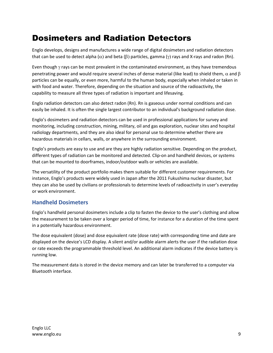# <span id="page-8-0"></span>Dosimeters and Radiation Detectors

Englo develops, designs and manufactures a wide range of digital dosimeters and radiation detectors that can be used to detect alpha  $(\alpha)$  and beta ( $\beta$ ) particles, gamma ( $\gamma$ ) rays and X-rays and radon (Rn).

Even though  $\gamma$  rays can be most prevalent in the contaminated environment, as they have tremendous penetrating power and would require several inches of dense material (like lead) to shield them,  $\alpha$  and  $\beta$ particles can be equally, or even more, harmful to the human body, especially when inhaled or taken in with food and water. Therefore, depending on the situation and source of the radioactivity, the capability to measure all three types of radiation is important and lifesaving.

Englo radiation detectors can also detect radon (Rn). Rn is gaseous under normal conditions and can easily be inhaled. It is often the single largest contributor to an individual's background radiation dose.

Englo's dosimeters and radiation detectors can be used in professional applications for survey and monitoring, including construction, mining, military, oil and gas exploration, nuclear sites and hospital radiology departments, and they are also ideal for personal use to determine whether there are hazardous materials in cellars, walls, or anywhere in the surrounding environment.

Englo's products are easy to use and are they are highly radiation sensitive. Depending on the product, different types of radiation can be monitored and detected. Clip-on and handheld devices, or systems that can be mounted to doorframes, indoor/outdoor walls or vehicles are available.

The versatility of the product portfolio makes them suitable for different customer requirements. For instance, Englo's products were widely used in Japan after the 2011 Fukushima nuclear disaster, but they can also be used by civilians or professionals to determine levels of radioactivity in user's everyday or work environment.

### <span id="page-8-1"></span>**Handheld Dosimeters**

Englo's handheld personal dosimeters include a clip to fasten the device to the user's clothing and allow the measurement to be taken over a longer period of time, for instance for a duration of the time spent in a potentially hazardous environment.

The dose equivalent (dose) and dose equivalent rate (dose rate) with corresponding time and date are displayed on the device's LCD display. A silent and/or audible alarm alerts the user if the radiation dose or rate exceeds the programmable threshold level. An additional alarm indicates if the device battery is running low.

The measurement data is stored in the device memory and can later be transferred to a computer via Bluetooth interface.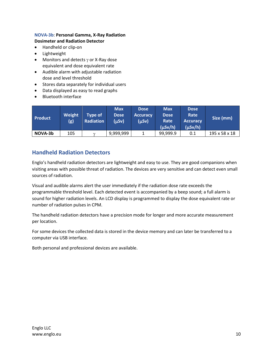#### **NOVA-3b**: **Personal Gamma, X-Ray Radiation Dosimeter and Radiation Detector**

- Handheld or clip-on
- Lightweight
- Monitors and detects  $\gamma$  or X-Ray dose equivalent and dose equivalent rate
- Audible alarm with adjustable radiation dose and level threshold
- Stores data separately for individual users
- Data displayed as easy to read graphs
- Bluetooth interface

| <b>Product</b> | <b>Weight</b><br>(g) | Type of<br>Radiation | <b>Max</b><br><b>Dose</b><br>(µSv) | <b>Dose</b><br><b>Accuracy</b><br>(µSv) | <b>Max</b><br><b>Dose</b><br>Rate<br>$(\mu Sv/h)$ | <b>Dose</b><br>Rate<br><b>Accuracy</b><br>$(\mu Sv/h)$ | Size (mm)     |
|----------------|----------------------|----------------------|------------------------------------|-----------------------------------------|---------------------------------------------------|--------------------------------------------------------|---------------|
| NOVA-3b        | 105                  | $\gamma$             | 9,999,999                          |                                         | 99,999.9                                          | 0.1                                                    | 195 x 58 x 18 |

### <span id="page-9-0"></span>**Handheld Radiation Detectors**

Englo's handheld radiation detectors are lightweight and easy to use. They are good companions when visiting areas with possible threat of radiation. The devices are very sensitive and can detect even small sources of radiation.

Visual and audible alarms alert the user immediately if the radiation dose rate exceeds the programmable threshold level. Each detected event is accompanied by a beep sound; a full alarm is sound for higher radiation levels. An LCD display is programmed to display the dose equivalent rate or number of radiation pulses in CPM.

The handheld radiation detectors have a precision mode for longer and more accurate measurement per location.

For some devices the collected data is stored in the device memory and can later be transferred to a computer via USB interface.

Both personal and professional devices are available.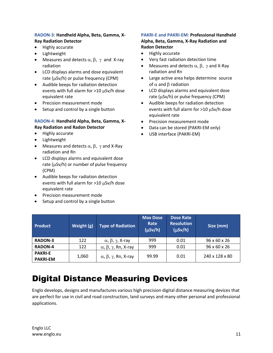#### **RADON-3**: **Handheld Alpha, Beta, Gamma, X-Ray Radiation Detector**

- Highly accurate
- Lightweight
- Measures and detects  $\alpha$ ,  $\beta$ ,  $\gamma$  and X-ray radiation
- LCD displays alarms and dose equivalent rate ( $\mu$ Sv/h) or pulse frequency (CPM)
- Audible beeps for radiation detection events with full alarm for  $>10 \mu$ Sv/h dose equivalent rate
- **•** Precision measurement mode
- Setup and control by a single button

#### **RADON-4**: **Handheld Alpha, Beta, Gamma, X-Ray Radiation and Radon Detector**

- Highly accurate
- Lightweight
- Measures and detects  $\alpha$ ,  $\beta$ ,  $\gamma$  and X-Ray radiation and Rn
- LCD displays alarms and equivalent dose rate ( $\mu$ Sv/h) or number of pulse frequency (CPM)
- Audible beeps for radiation detection events with full alarm for  $>10 \mu Sv/h$  dose equivalent rate
- Precision measurement mode
- Setup and control by a single button

#### **PAKRI-E and PAKRI-EM**: **Professional Handheld Alpha, Beta, Gamma, X-Ray Radiation and Radon Detector**

- Highly accurate
- Very fast radiation detection time
- Measures and detects  $\alpha$ ,  $\beta$ ,  $\gamma$  and X-Ray radiation and Rn
- Large active area helps determine source of  $\alpha$  and  $\beta$  radiation
- LCD displays alarms and equivalent dose rate ( $\mu$ Sv/h) or pulse frequency (CPM)
- Audible beeps for radiation detection events with full alarm for  $>10 \mu Sv/h$  dose equivalent rate
- Precision measurement mode
- Data can be stored (PAKRI-EM only)
- USB interface (PAKRI-EM)

| <b>Product</b>                    | Weight (g) | <b>Type of Radiation</b>                  | <b>Max Dose</b><br>Rate<br>$(\mu Sv/h)$ | <b>Dose Rate</b><br><b>Resolution</b><br>$(\mu Sv/h)$ | Size (mm)                |
|-----------------------------------|------------|-------------------------------------------|-----------------------------------------|-------------------------------------------------------|--------------------------|
| <b>RADON-3</b>                    | 122        | $\alpha$ , $\beta$ , $\gamma$ , X-ray     | 999                                     | 0.01                                                  | $96 \times 60 \times 26$ |
| <b>RADON-4</b>                    | 122        | $\alpha$ , $\beta$ , $\gamma$ , Rn, X-ray | 999                                     | 0.01                                                  | 96 x 60 x 26             |
| <b>PAKRI-E</b><br><b>PAKRI-EM</b> | 1,060      | $\alpha$ , $\beta$ , $\gamma$ , Rn, X-ray | 99.99                                   | 0.01                                                  | 240 x 128 x 80           |

# <span id="page-10-0"></span>Digital Distance Measuring Devices

Englo develops, designs and manufactures various high precision digital distance measuring devices that are perfect for use in civil and road construction, land surveys and many other personal and professional applications.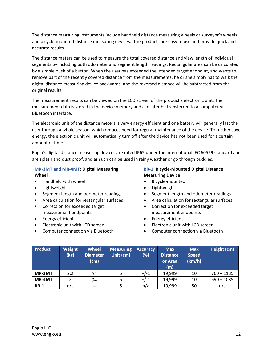The distance measuring instruments include handheld distance measuring wheels or surveyor's wheels and bicycle-mounted distance measuring devices. The products are easy to use and provide quick and accurate results.

The distance meters can be used to measure the total covered distance and view length of individual segments by including both odometer and segment length readings. Rectangular area can be calculated by a simple push of a button. When the user has exceeded the intended target endpoint, and wants to remove part of the recently covered distance from the measurements, he or she simply has to walk the digital distance measuring device backwards, and the reversed distance will be subtracted from the original results.

The measurement results can be viewed on the LCD screen of the product's electronic unit. The measurement data is stored in the device memory and can later be transferred to a computer via Bluetooth interface.

The electronic unit of the distance meters is very energy efficient and one battery will generally last the user through a whole season, which reduces need for regular maintenance of the device. To further save energy, the electronic unit will automatically turn off after the device has not been used for a certain amount of time.

Englo's digital distance measuring devices are rated IP65 under the international IEC 60529 standard and are splash and dust proof, and as such can be used in rainy weather or go through puddles.

#### **MR-3MT and MR-4MT**: **Digital Measuring Wheel**

- Handheld with wheel
- Lightweight
- Segment length and odometer readings
- Area calculation for rectangular surfaces
- Correction for exceeded target measurement endpoints
- Energy efficient
- Electronic unit with LCD screen
- Computer connection via Bluetooth

#### **BR-1**: **Bicycle-Mounted Digital Distance Measuring Device**

- Bicycle-mounted
- **•** Lightweight
- Segment length and odometer readings
- Area calculation for rectangular surfaces
- Correction for exceeded target measurement endpoints
- Energy efficient
- Electronic unit with LCD screen
- Computer connection via Bluetooth

| Product     | Weight<br>(kg) | <b>Wheel</b><br><b>Diameter</b><br>(cm) | <b>Measuring</b><br>Unit (cm) | <b>Accuracy</b><br>(%) | <b>Max</b><br><b>Distance</b><br>or Area<br>(m) | <b>Max</b><br><b>Speed</b><br>(km/h) | Height (cm)  |
|-------------|----------------|-----------------------------------------|-------------------------------|------------------------|-------------------------------------------------|--------------------------------------|--------------|
| MR-3MT      | 2.2            | 54                                      |                               | $+/-1$                 | 19,999                                          | 10                                   | $760 - 1135$ |
| MR-4MT      |                | 34                                      |                               | $+/-1$                 | 19,999                                          | 10                                   | $690 - 1035$ |
| <b>BR-1</b> | n/a            |                                         |                               | n/a                    | 19,999                                          | 50                                   | n/a          |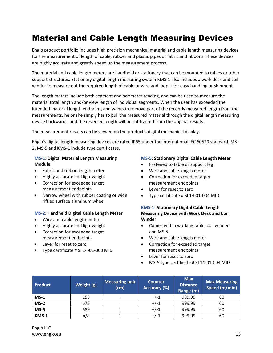# <span id="page-12-0"></span>Material and Cable Length Measuring Devices

Englo product portfolio includes high precision mechanical material and cable length measuring devices for the measurement of length of cable, rubber and plastic pipes or fabric and ribbons. These devices are highly accurate and greatly speed up the measurement process.

The material and cable length meters are handheld or stationary that can be mounted to tables or other support structures. Stationary digital length measuring system KMS-1 also includes a work desk and coil winder to measure out the required length of cable or wire and loop it for easy handling or shipment.

The length meters include both segment and odometer reading, and can be used to measure the material total length and/or view length of individual segments. When the user has exceeded the intended material length endpoint, and wants to remove part of the recently measured length from the measurements, he or she simply has to pull the measured material through the digital length measuring device backwards, and the reversed length will be subtracted from the original results.

The measurement results can be viewed on the product's digital mechanical display.

Englo's digital length measuring devices are rated IP65 under the international IEC 60529 standard. MS-2, MS-5 and KMS-1 include type certificates.

#### **MS-1**: **Digital Material Length Measuring Module**

- Fabric and ribbon length meter
- Highly accurate and lightweight
- Correction for exceeded target measurement endpoints
- Narrow wheel with rubber coating or wide riffled surface aluminum wheel

#### **MS-2**: **Handheld Digital Cable Length Meter**

- Wire and cable length meter
- Highly accurate and lightweight
- Correction for exceeded target measurement endpoints
- Lever for reset to zero
- Type certificate # SI 14-01-003 MID

#### **MS-5**: **Stationary Digital Cable Length Meter**

- Fastened to table or support leg
- Wire and cable length meter
- Correction for exceeded target measurement endpoints
- Lever for reset to zero
- Type certificate # SI 14-01-004 MID

#### **KMS-1**: **Stationary Digital Cable Length Measuring Device with Work Desk and Coil Winder**

- Comes with a working table, coil winder and MS-5
- Wire and cable length meter
- Correction for exceeded target measurement endpoints
- Lever for reset to zero
- MS-5 type certificate # SI 14-01-004 MID

| <b>Product</b> | Weight (g) | <b>Measuring unit</b><br>(cm) | <b>Counter</b><br>Accuracy (%) | <b>Max</b><br><b>Distance</b><br>Range (m) | <b>Max Measuring</b><br>Speed (m/min) |
|----------------|------------|-------------------------------|--------------------------------|--------------------------------------------|---------------------------------------|
| $MS-1$         | 153        |                               | $+/-1$                         | 999.99                                     | 60                                    |
| $MS-2$         | 673        |                               | $+/-1$                         | 999.99                                     | 60                                    |
| $MS-5$         | 689        |                               | $+/-1$                         | 999.99                                     | 60                                    |
| KMS-1          | n/a        |                               | +/-1                           | 999.99                                     | 60                                    |